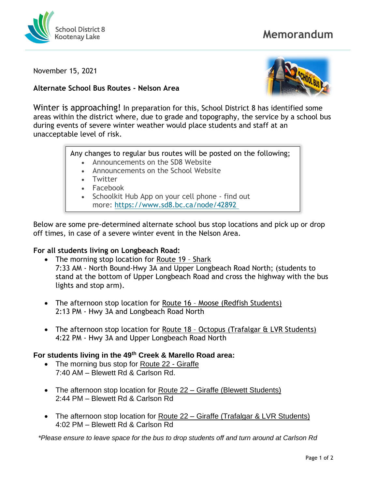

# **Memorandum**

November 15, 2021

#### **Alternate School Bus Routes - Nelson Area**



Winter is approaching! In preparation for this, School District 8 has identified some areas within the district where, due to grade and topography, the service by a school bus during events of severe winter weather would place students and staff at an unacceptable level of risk.

Any changes to regular bus routes will be posted on the following;

- Announcements on the SD8 Website
- Announcements on the School Website
- Twitter
- **Facebook**
- Schoolkit Hub App on your cell phone find out more: <https://www.sd8.bc.ca/node/42892>

Below are some pre-determined alternate school bus stop locations and pick up or drop off times, in case of a severe winter event in the Nelson Area.

### **For all students living on Longbeach Road:**

- The morning stop location for Route 19 Shark 7:33 AM - North Bound-Hwy 3A and Upper Longbeach Road North; (students to stand at the bottom of Upper Longbeach Road and cross the highway with the bus lights and stop arm).
- The afternoon stop location for Route 16 Moose (Redfish Students) 2:13 PM - Hwy 3A and Longbeach Road North
- The afternoon stop location for Route 18 Octopus (Trafalgar & LVR Students) 4:22 PM - Hwy 3A and Upper Longbeach Road North

### **For students living in the 49th Creek & Marello Road area:**

- The morning bus stop for Route 22 Giraffe 7:40 AM – Blewett Rd & Carlson Rd.
- The afternoon stop location for Route 22 Giraffe (Blewett Students) 2:44 PM – Blewett Rd & Carlson Rd
- The afternoon stop location for Route 22 Giraffe (Trafalgar & LVR Students) 4:02 PM – Blewett Rd & Carlson Rd

*\*Please ensure to leave space for the bus to drop students off and turn around at Carlson Rd*